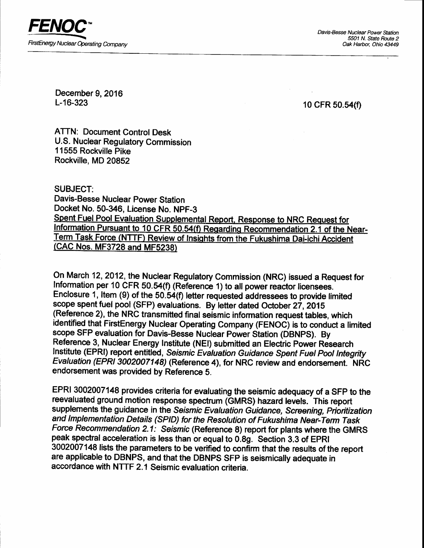

Davis-Besse Nuclear Power Station 5501 N. State Rauta Z Oak Harbor, Ohio 43449

December 9, 2016 L-16-323

10 CFR 50.54(f)

ATTN: Document Control Desk U.S, Nuclear Regulatory Commission 1 1555 Rockville Pike Rockville, MD 20852

SUBJECT:

Davis-Besse Nuclear Power Station Docket No. 50-346, License No. NPF-3<br>Spent Fuel Pool Evaluation Supplemental Report, Response to NRC Request for Information Pursuant to 10 CFR 50.54(f) Regarding Recommendation 2.1 of the Near-Term Task Force (NTTF) Review of Insights from the Fukushima Dai-ichi Accident (CAC Nos. MF3728 and MF523g)

On March 12, 2012, the Nuclear Regulatory Commission (NRC) issued a Request for Information per 10 CFR 50.54(f) (Reference 1) to all power reactor licensees. Enclosure 1, ltem (9) of the 50.54(f) letter requested addressees to provide limited scope spent fuel pool (SFP) evaluations. By letter dated October 27, 2015 (Reference 2), the NRC transmitted final seismic information request tables, which identified that FirstEnergy Nuclear Operating Gompany {FENOC) is to conduct a limited scope SFP evaluation for Davis-Besse Nuclear Power Station (DBNPS). By Reference 3, Nuclear Energy Institute (NEl) submitted an Electric Power Research Institute (EPRI) report entitled, Seismic Evaluation Guidance Spent Fuel Pool Integrity Evaluation (EPRI 3002007148) (Reference 4), for NRC review and endorsement. NRC endorsement was provided by Reference S.

EPRI 3002007148 provides criteria for evaluating the seismic adequacy of a SFP to the reevaluated ground motion response spectrum (GMRS) hazard levels. This report supplements the guidance in the Seismic Evaluation Guidance, Screening, Prioritization and Implementation Details (SPID) for the Resolution of Fukushima Near-Term Task Force Recommendation 2.1: Seismic (Reference 8) report for plants where the GMRS peak spectral acceleration is less than or equal to 0.8g. Section 3.3 of EPR| 3002007148 lists the parameters to be verified to confirm that the results of the report are applicable to DBNPS, and that the DBNPS SFP is seismically adequate in accordance with NTTF 2.1 Seismic evaluation criteria.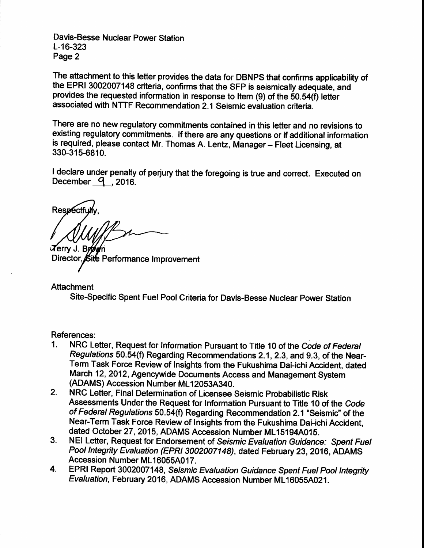Davis-Besse Nuclear Power Station L-16-323 Page 2

The attachment to this letter provides the data for DBNPS that confirms applicability of the EPRI 3002007148 criteria, confirms that the SFP is seismically adequate, and provides the requested information in response to ltem (9) of the 50.54(f) letter associated with NTTF Recommendation 2.1 Seismic evaluation criteria.

There are no new regulatory commitments contained in this letter and no revisions to existing regulatory commitments. If there are any questions or if additional information is required, please contact Mr. Thomas A. Lentz, Manager - Fleet Licensing, at 330-315-6810.

I declare under penalty of perjury that the foregoing is true and correct. Executed on December  $q$  , 2016.

Respectf

**Z**erry J. Br Director, Site Performance Improvement

**Attachment** Site-Specific Spent Fuel Poof Criteria for Davis-Besse Nuclear Power Station

References:

- 1. NRC Lefter, Request for Information Pursuant to Title 10 of the Code of Federal Regulations 50.54(f) Regarding Recommendations 2. 1, 2.3, and 9.3, of the Near-Term Task Force Review of Insights from the Fukushima Dalichi Accident, dated March 12, 2012, Agencywide Documents Access and Management System (ADAMS) Accession Number ML12053A340.
- 2. NRC Letter, Final Determination of Licensee Seismic Probabilistic Risk Assessments Under the Request for Information Pursuant to Title 10 of the Code of Federal Regulations 50.54(f) Regarding Recommendation 2.1 "Seismic" of the Near-Term Task Force Review of Insights from the Fukushima Dai-ichi Accident, dated October 27, 2015, ADAMS Accession Number ML15194A015.
- 3. NEI Letter, Request for Endorsement of Seismic Evaluation Guidance: Spent Fuel Pool Integrity Evaluation (EPRI 3002007148), dated February 23, 2016, ADAMS Accession Number ML16055A017.
- 4. EPRI Report 3002007148, Seismic Evaluation Guidance Spent Fuel Pool Integrity Evaluation, February 2016, ADAMS Accession Number ML16055A021.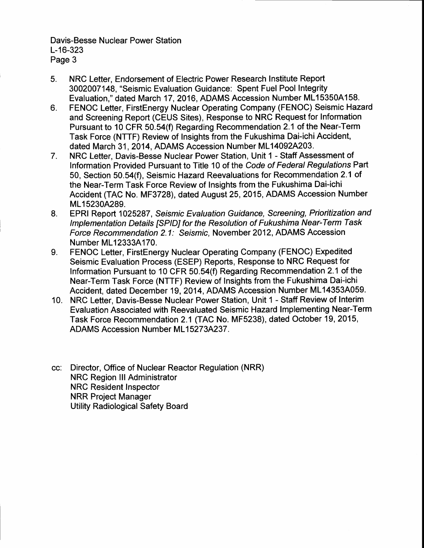Davis-Besse Nuclear Power Station L-16-323 Page 3

- 5. NRC Letter, Endorsement of Electric Power Research Institute Report 3002007148, "Seismic Evaluation Guidance: Spent Fuel Pool Integrity Evaluation," dated March 17 , 2016, ADAMS Accession Number ML15350A158.
- 6. FENOC Letter, FirstEnergy Nuclear Operating Company (FENOC) Seismic Hazard and Screening Report (CEUS Sites), Response to NRC Request for Information Pursuant to 10 CFR 50.54(f) Regarding Recommendation 2.1 of the Near-Term Task Force (NTTF) Review of Insights from the Fukushima Dai-ichi Accident, dated March 31, 2014, ADAMS Accession Number ML14092A203.
- 7. NRC Letter, Davis-Besse Nuclear Power Station, Unit 1 - Staff Assessment of lnformation Provided Pursuant to Title 10 of the Code of Federal Regulations Part 50, Section 50.54(f), Seismic Hazard Reevaluations for Recommendation 2.1 of the Near-Term Task Force Review of Insights from the Fukushima Dai-ichi Accident (TAC No. MF3728), dated August 25,2015, ADAMS Accession Number ML15230A289.
- 8. EPRI Report 1025287, Seismic Evaluation Guidance, Screening, Prioritization and lmplementation Details ISPID] for the Resolution of Fukushima Near-Term Task Force Recommendation 2.1: Seismic, November 2012, ADAMS Accession Number ML12333A170.
- 9. FENOC Letter, FirstEnergy Nuclear Operating Company (FENOC) Expedited Seismic Evaluation Process (ESEP) Reports, Response to NRC Request for Information Pursuant to 10 CFR 50.54(f) Regarding Recommendation 2.1 of the Near-Term Task Force (NTTF) Review of Insights from the Fukushima Dai-ichi Accident, dated December 19, 2014, ADAMS Accession Number ML14353A059.
- 10. NRC Letter, Davis-Besse Nuclear Power Station, Unit 1 Staff Review of Interim Evaluation Associated with Reevaluated Seismic Hazard Implementing Near-Term Task Force Recommendation2.l (TAC No. MF5238), dated October 19,2015, ADAMS Accession Number ML15273A237.
- cc: Director, Office of Nuclear Reactor Regulation (NRR) NRC Region lll Administrator NRC Resident Inspector NRR Project Manager Utility Radiological Safety Board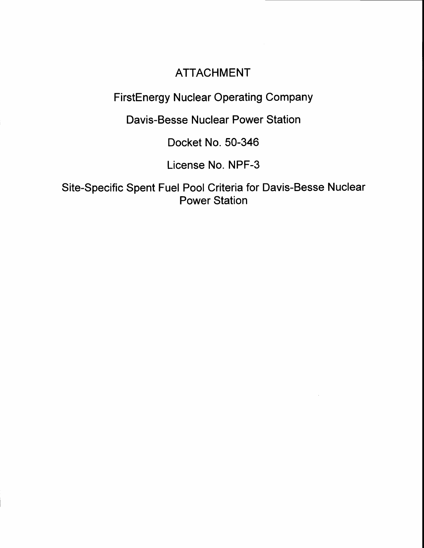## ATTACHMENT

FirstEnergy Nuclear Operating Company

Davis-Besse Nuclear Power Station

Docket No. 50-346

License No. NPF-3

Site-Specific Spent Fuel Pool Criteria for Davis-Besse Nuclear Power Station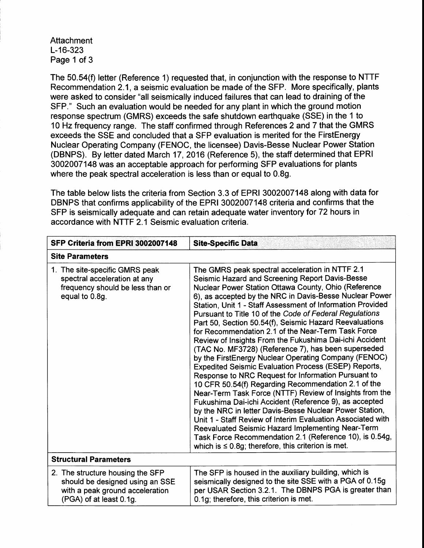Attachment L-16-323 Page 1 of 3

The 50.54(f) letter (Reference 1) requested that, in conjunction with the response to NTTF Recommendation 2.1, a seismic evaluation be made of the SFP. More specifically, plants were asked to consider "all seismically induced failures that can lead to draining of the SFP." Such an evaluation would be needed for any plant in which the ground motion response spectrum (GMRS) exceeds the safe shutdown earthquake (SSE) in the 1 to 10 Hz frequency range. The staff confirmed through References 2 and 7 that the GMRS exceeds the SSE and concluded that a SFP evaluation is merited for the FirstEnergy Nuclear Operating Company (FENOC, the licensee) Davis-Besse Nuclear Power Station (DBNPS). By letter dated March 17,2016 (Reference 5), the staff determined that EPRI 3002007148 was an acceptable approach for performing SFP evaluations for plants where the peak spectral acceleration is less than or equal to 0.8g.

The table below lists the criteria from Section 3.3 of EPRI 3002007148 along with data for DBNPS that confirms applicability of the EPRI 3002007148 criteria and confirms that the SFP is seismically adequate and can retain adequate water inventory for 72 hours in accordance with NTTF 2.1 Seismic evaluation criteria.

| SFP Criteria from EPRI 3002007148                                                                                                 | <b>Site-Specific Data</b>                                                                                                                                                                                                                                                                                                                                                                                                                                                                                                                                                                                                                                                                                                                                                                                                                                                                                                                                                                                                                                                                                                                                                                                                                        |  |
|-----------------------------------------------------------------------------------------------------------------------------------|--------------------------------------------------------------------------------------------------------------------------------------------------------------------------------------------------------------------------------------------------------------------------------------------------------------------------------------------------------------------------------------------------------------------------------------------------------------------------------------------------------------------------------------------------------------------------------------------------------------------------------------------------------------------------------------------------------------------------------------------------------------------------------------------------------------------------------------------------------------------------------------------------------------------------------------------------------------------------------------------------------------------------------------------------------------------------------------------------------------------------------------------------------------------------------------------------------------------------------------------------|--|
| <b>Site Parameters</b>                                                                                                            |                                                                                                                                                                                                                                                                                                                                                                                                                                                                                                                                                                                                                                                                                                                                                                                                                                                                                                                                                                                                                                                                                                                                                                                                                                                  |  |
| 1. The site-specific GMRS peak<br>spectral acceleration at any<br>frequency should be less than or<br>equal to 0.8g.              | The GMRS peak spectral acceleration in NTTF 2.1<br>Seismic Hazard and Screening Report Davis-Besse<br>Nuclear Power Station Ottawa County, Ohio (Reference<br>6), as accepted by the NRC in Davis-Besse Nuclear Power<br>Station, Unit 1 - Staff Assessment of Information Provided<br>Pursuant to Title 10 of the Code of Federal Regulations<br>Part 50, Section 50.54(f), Seismic Hazard Reevaluations<br>for Recommendation 2.1 of the Near-Term Task Force<br>Review of Insights From the Fukushima Dai-ichi Accident<br>(TAC No. MF3728) (Reference 7), has been superseded<br>by the FirstEnergy Nuclear Operating Company (FENOC)<br><b>Expedited Seismic Evaluation Process (ESEP) Reports,</b><br>Response to NRC Request for Information Pursuant to<br>10 CFR 50.54(f) Regarding Recommendation 2.1 of the<br>Near-Term Task Force (NTTF) Review of Insights from the<br>Fukushima Dai-ichi Accident (Reference 9), as accepted<br>by the NRC in letter Davis-Besse Nuclear Power Station,<br>Unit 1 - Staff Review of Interim Evaluation Associated with<br>Reevaluated Seismic Hazard Implementing Near-Term<br>Task Force Recommendation 2.1 (Reference 10), is 0.54g,<br>which is $\leq$ 0.8g; therefore, this criterion is met. |  |
| <b>Structural Parameters</b>                                                                                                      |                                                                                                                                                                                                                                                                                                                                                                                                                                                                                                                                                                                                                                                                                                                                                                                                                                                                                                                                                                                                                                                                                                                                                                                                                                                  |  |
| 2. The structure housing the SFP<br>should be designed using an SSE<br>with a peak ground acceleration<br>(PGA) of at least 0.1g. | The SFP is housed in the auxiliary building, which is<br>seismically designed to the site SSE with a PGA of 0.15g<br>per USAR Section 3.2.1. The DBNPS PGA is greater than<br>0.1g; therefore, this criterion is met.                                                                                                                                                                                                                                                                                                                                                                                                                                                                                                                                                                                                                                                                                                                                                                                                                                                                                                                                                                                                                            |  |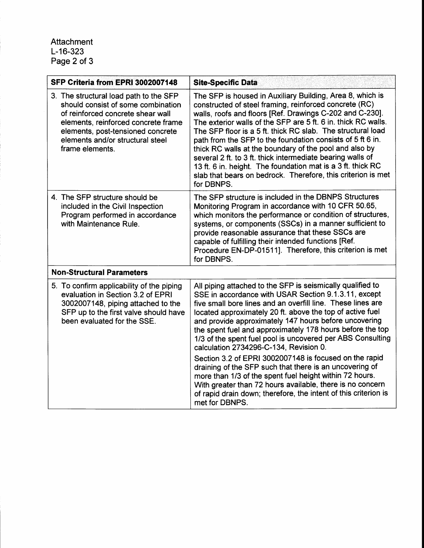## Attachment L-16-323 Page 2 of 3

| SFP Criteria from EPRI 3002007148                                                                                                                                                                                                                    | <b>Site-Specific Data</b>                                                                                                                                                                                                                                                                                                                                                                                                                                                                                                                                                                                                                                                                                                                                                                                      |  |
|------------------------------------------------------------------------------------------------------------------------------------------------------------------------------------------------------------------------------------------------------|----------------------------------------------------------------------------------------------------------------------------------------------------------------------------------------------------------------------------------------------------------------------------------------------------------------------------------------------------------------------------------------------------------------------------------------------------------------------------------------------------------------------------------------------------------------------------------------------------------------------------------------------------------------------------------------------------------------------------------------------------------------------------------------------------------------|--|
| 3. The structural load path to the SFP<br>should consist of some combination<br>of reinforced concrete shear wall<br>elements, reinforced concrete frame<br>elements, post-tensioned concrete<br>elements and/or structural steel<br>frame elements. | The SFP is housed in Auxiliary Building, Area 8, which is<br>constructed of steel framing, reinforced concrete (RC)<br>walls, roofs and floors [Ref. Drawings C-202 and C-230].<br>The exterior walls of the SFP are 5 ft. 6 in. thick RC walls.<br>The SFP floor is a 5 ft. thick RC slab. The structural load<br>path from the SFP to the foundation consists of 5 ft 6 in.<br>thick RC walls at the boundary of the pool and also by<br>several 2 ft. to 3 ft. thick intermediate bearing walls of<br>13 ft. 6 in. height. The foundation mat is a 3 ft. thick RC<br>slab that bears on bedrock. Therefore, this criterion is met<br>for DBNPS.                                                                                                                                                             |  |
| 4. The SFP structure should be<br>included in the Civil Inspection<br>Program performed in accordance<br>with Maintenance Rule.                                                                                                                      | The SFP structure is included in the DBNPS Structures<br>Monitoring Program in accordance with 10 CFR 50.65,<br>which monitors the performance or condition of structures,<br>systems, or components (SSCs) in a manner sufficient to<br>provide reasonable assurance that these SSCs are<br>capable of fulfilling their intended functions [Ref.<br>Procedure EN-DP-01511]. Therefore, this criterion is met<br>for DBNPS.                                                                                                                                                                                                                                                                                                                                                                                    |  |
| <b>Non-Structural Parameters</b>                                                                                                                                                                                                                     |                                                                                                                                                                                                                                                                                                                                                                                                                                                                                                                                                                                                                                                                                                                                                                                                                |  |
| 5. To confirm applicability of the piping<br>evaluation in Section 3.2 of EPRI<br>3002007148, piping attached to the<br>SFP up to the first valve should have<br>been evaluated for the SSE.                                                         | All piping attached to the SFP is seismically qualified to<br>SSE in accordance with USAR Section 9.1.3.11, except<br>five small bore lines and an overfill line. These lines are<br>located approximately 20 ft. above the top of active fuel<br>and provide approximately 147 hours before uncovering<br>the spent fuel and approximately 178 hours before the top<br>1/3 of the spent fuel pool is uncovered per ABS Consulting<br>calculation 2734296-C-134, Revision 0.<br>Section 3.2 of EPRI 3002007148 is focused on the rapid<br>draining of the SFP such that there is an uncovering of<br>more than 1/3 of the spent fuel height within 72 hours.<br>With greater than 72 hours available, there is no concern<br>of rapid drain down; therefore, the intent of this criterion is<br>met for DBNPS. |  |